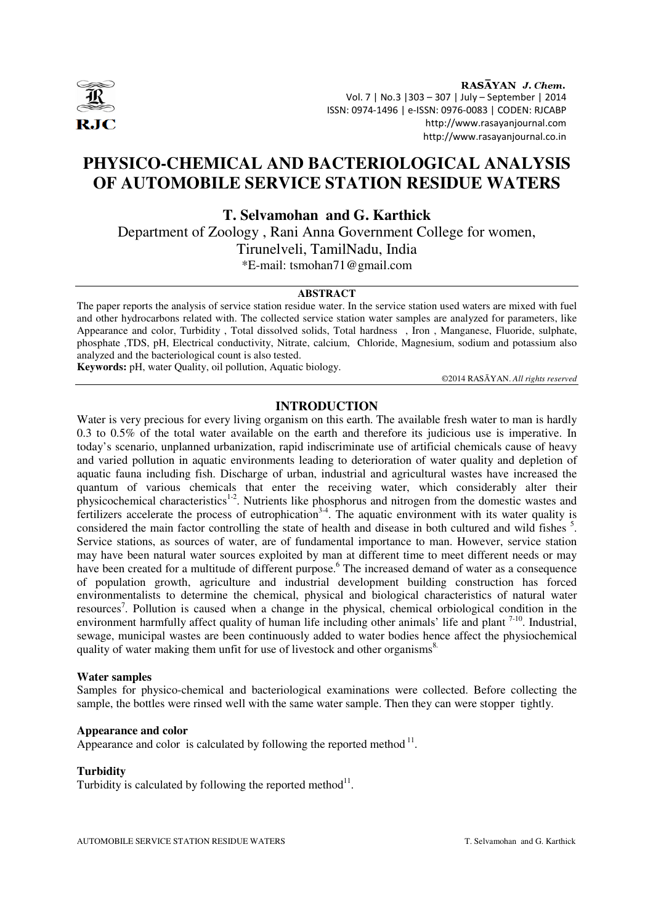

RASAYAN J. Chem. Vol. 7 | No.3 |303 – 307 | July – September | 2014 ISSN: 0974-1496 | e-ISSN: 0976-0083 | CODEN: RJCABP http://www.rasayanjournal.com http://www.rasayanjournal.co.in

# **PHYSICO-CHEMICAL AND BACTERIOLOGICAL ANALYSIS OF AUTOMOBILE SERVICE STATION RESIDUE WATERS**

**T. Selvamohan and G. Karthick** 

Department of Zoology , Rani Anna Government College for women, Tirunelveli, TamilNadu, India \*E-mail: tsmohan71@gmail.com

## **ABSTRACT**

The paper reports the analysis of service station residue water. In the service station used waters are mixed with fuel and other hydrocarbons related with. The collected service station water samples are analyzed for parameters, like Appearance and color, Turbidity , Total dissolved solids, Total hardness , Iron , Manganese, Fluoride, sulphate, phosphate ,TDS, pH, Electrical conductivity, Nitrate, calcium, Chloride, Magnesium, sodium and potassium also analyzed and the bacteriological count is also tested.

**Keywords:** pH, water Quality, oil pollution, Aquatic biology.

©2014 RASĀYAN. *All rights reserved*

# **INTRODUCTION**

Water is very precious for every living organism on this earth. The available fresh water to man is hardly 0.3 to 0.5% of the total water available on the earth and therefore its judicious use is imperative. In today's scenario, unplanned urbanization, rapid indiscriminate use of artificial chemicals cause of heavy and varied pollution in aquatic environments leading to deterioration of water quality and depletion of aquatic fauna including fish. Discharge of urban, industrial and agricultural wastes have increased the quantum of various chemicals that enter the receiving water, which considerably alter their physicochemical characteristics<sup>1-2</sup>. Nutrients like phosphorus and nitrogen from the domestic wastes and fertilizers accelerate the process of eutrophication<sup>3-4</sup>. The aquatic environment with its water quality is considered the main factor controlling the state of health and disease in both cultured and wild fishes <sup>5</sup>. Service stations, as sources of water, are of fundamental importance to man. However, service station may have been natural water sources exploited by man at different time to meet different needs or may have been created for a multitude of different purpose.<sup>6</sup> The increased demand of water as a consequence of population growth, agriculture and industrial development building construction has forced environmentalists to determine the chemical, physical and biological characteristics of natural water resources<sup>7</sup>. Pollution is caused when a change in the physical, chemical orbiological condition in the environment harmfully affect quality of human life including other animals' life and plant <sup>7-10</sup>. Industrial, sewage, municipal wastes are been continuously added to water bodies hence affect the physiochemical quality of water making them unfit for use of livestock and other organisms<sup>8.</sup>

#### **Water samples**

Samples for physico-chemical and bacteriological examinations were collected. Before collecting the sample, the bottles were rinsed well with the same water sample. Then they can were stopper tightly.

#### **Appearance and color**

Appearance and color is calculated by following the reported method $11$ .

## **Turbidity**

Turbidity is calculated by following the reported method $11$ .

AUTOMOBILE SERVICE STATION RESIDUE WATERS TABLE TO A SERVICE STATION RESIDUE WATERS T. Selvamohan and G. Karthick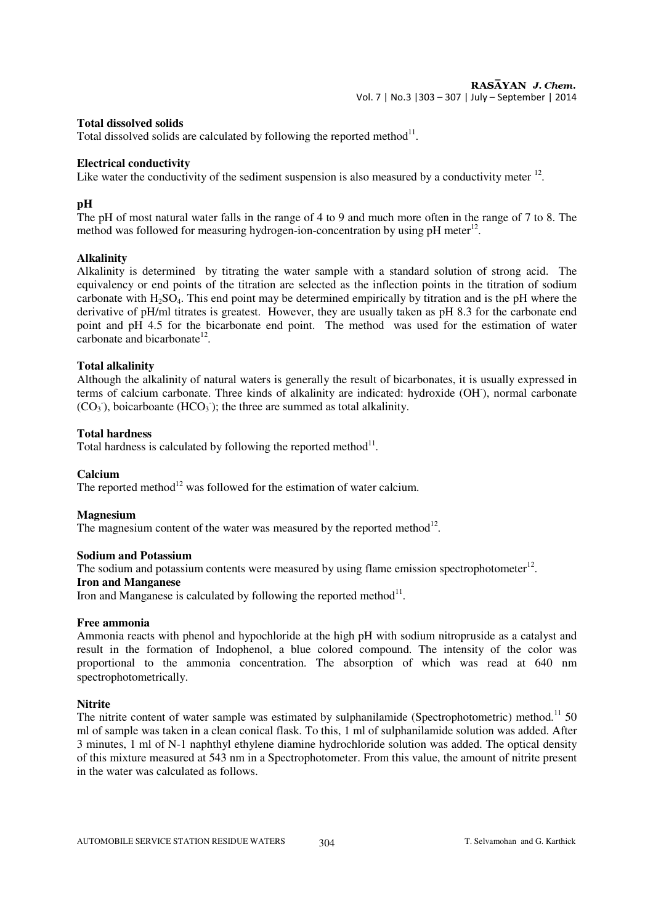#### **Total dissolved solids**

Total dissolved solids are calculated by following the reported method $11$ .

## **Electrical conductivity**

Like water the conductivity of the sediment suspension is also measured by a conductivity meter  $12$ .

## **pH**

The pH of most natural water falls in the range of 4 to 9 and much more often in the range of 7 to 8. The method was followed for measuring hydrogen-ion-concentration by using  $pH$  meter<sup>12</sup>.

#### **Alkalinity**

Alkalinity is determined by titrating the water sample with a standard solution of strong acid. The equivalency or end points of the titration are selected as the inflection points in the titration of sodium carbonate with  $H_2SO_4$ . This end point may be determined empirically by titration and is the pH where the derivative of pH/ml titrates is greatest. However, they are usually taken as pH 8.3 for the carbonate end point and pH 4.5 for the bicarbonate end point. The method was used for the estimation of water carbonate and bicarbonate $^{12}$ .

## **Total alkalinity**

Although the alkalinity of natural waters is generally the result of bicarbonates, it is usually expressed in terms of calcium carbonate. Three kinds of alkalinity are indicated: hydroxide (OH- ), normal carbonate  $(CO<sub>3</sub>)$ , boicarboante (HCO<sub>3</sub><sup>-</sup>); the three are summed as total alkalinity.

## **Total hardness**

Total hardness is calculated by following the reported method $11$ .

#### **Calcium**

The reported method $12$  was followed for the estimation of water calcium.

#### **Magnesium**

The magnesium content of the water was measured by the reported method $^{12}$ .

#### **Sodium and Potassium**

The sodium and potassium contents were measured by using flame emission spectrophotometer<sup>12</sup>.

#### **Iron and Manganese**

Iron and Manganese is calculated by following the reported method $11$ .

#### **Free ammonia**

Ammonia reacts with phenol and hypochloride at the high pH with sodium nitropruside as a catalyst and result in the formation of Indophenol, a blue colored compound. The intensity of the color was proportional to the ammonia concentration. The absorption of which was read at 640 nm spectrophotometrically.

#### **Nitrite**

The nitrite content of water sample was estimated by sulphanilamide (Spectrophotometric) method.<sup>11</sup> 50 ml of sample was taken in a clean conical flask. To this, 1 ml of sulphanilamide solution was added. After 3 minutes, 1 ml of N-1 naphthyl ethylene diamine hydrochloride solution was added. The optical density of this mixture measured at 543 nm in a Spectrophotometer. From this value, the amount of nitrite present in the water was calculated as follows.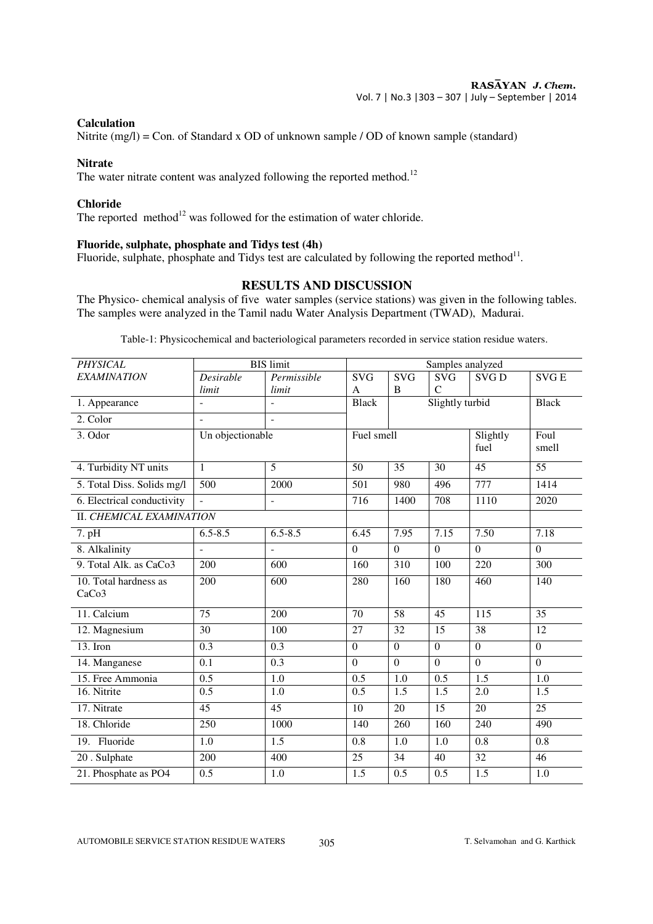#### RASAYAN J. Chem. Vol. 7 | No.3 |303 – 307 | July – September | 2014

#### **Calculation**

Nitrite (mg/l) = Con. of Standard x OD of unknown sample / OD of known sample (standard)

# **Nitrate**

The water nitrate content was analyzed following the reported method.<sup>12</sup>

#### **Chloride**

The reported method<sup>12</sup> was followed for the estimation of water chloride.

## **Fluoride, sulphate, phosphate and Tidys test (4h)**

Fluoride, sulphate, phosphate and Tidys test are calculated by following the reported method $^{11}$ .

# **RESULTS AND DISCUSSION**

The Physico- chemical analysis of five water samples (service stations) was given in the following tables. The samples were analyzed in the Tamil nadu Water Analysis Department (TWAD), Madurai.

Table-1: Physicochemical and bacteriological parameters recorded in service station residue waters.

| <b>PHYSICAL</b>            | <b>BIS</b> limit | Samples analyzed |                         |                  |                  |                  |                  |
|----------------------------|------------------|------------------|-------------------------|------------------|------------------|------------------|------------------|
| <b>EXAMINATION</b>         | Desirable        | Permissible      | $\overline{\text{SVG}}$ | <b>SVG</b>       | <b>SVG</b>       | <b>SVGD</b>      | <b>SVGE</b>      |
|                            | limit            | limit            | A                       | B                | $\mathcal{C}$    |                  |                  |
| 1. Appearance              | $\blacksquare$   |                  | <b>Black</b>            | Slightly turbid  |                  |                  | <b>Black</b>     |
| 2. Color                   | $\frac{1}{2}$    | $\overline{a}$   |                         |                  |                  |                  |                  |
| 3. Odor                    | Un objectionable |                  | Fuel smell              |                  |                  | Slightly         | Foul             |
|                            |                  |                  |                         |                  |                  | fuel             | smell            |
| 4. Turbidity NT units      | $\mathbf{1}$     | 5                | $\overline{50}$         | $\overline{35}$  | $\overline{30}$  | 45               | $\overline{55}$  |
| 5. Total Diss. Solids mg/l | 500              | 2000             | 501                     | 980              | 496              | 777              | 1414             |
| 6. Electrical conductivity |                  | $\sim$           | 716                     | 1400             | 708              | 1110             | 2020             |
| II. CHEMICAL EXAMINATION   |                  |                  |                         |                  |                  |                  |                  |
| 7. pH                      | $6.5 - 8.5$      | $6.5 - 8.5$      | 6.45                    | 7.95             | 7.15             | 7.50             | 7.18             |
| 8. Alkalinity              | $\overline{a}$   | $\overline{a}$   | $\overline{0}$          | $\boldsymbol{0}$ | $\overline{0}$   | $\overline{0}$   | $\overline{0}$   |
| 9. Total Alk. as CaCo3     | $\overline{200}$ | $\overline{600}$ | 160                     | $\overline{310}$ | 100              | $\overline{220}$ | $\overline{300}$ |
| $10.$ Total hardness as    | 200              | 600              | 280                     | 160              | 180              | 460              | 140              |
| CaCo <sub>3</sub>          |                  |                  |                         |                  |                  |                  |                  |
| 11. Calcium                | 75               | 200              | 70                      | 58               | 45               | 115              | 35               |
| 12. Magnesium              | 30               | 100              | 27                      | 32               | 15               | 38               | 12               |
| $13.$ Iron                 | 0.3              | 0.3              | $\mathbf{0}$            | $\Omega$         | $\boldsymbol{0}$ | $\overline{0}$   | $\mathbf{0}$     |
| 14. Manganese              | 0.1              | $\overline{0.3}$ | $\overline{0}$          | $\overline{0}$   | $\overline{0}$   | $\Omega$         | $\overline{0}$   |
| 15. Free Ammonia           | 0.5              | $\overline{1.0}$ | $\overline{0.5}$        | $\overline{1.0}$ | $\overline{0.5}$ | $\overline{1.5}$ | 1.0              |
| 16. Nitrite                | 0.5              | 1.0              | 0.5                     | 1.5              | 1.5              | 2.0              | 1.5              |
| 17. Nitrate                | $\overline{45}$  | $\overline{45}$  | 10                      | 20               | $\overline{15}$  | 20               | 25               |
| 18. Chloride               | 250              | 1000             | 140                     | 260              | 160              | 240              | 490              |
| 19. Fluoride               | $\overline{1.0}$ | $\overline{1.5}$ | $\overline{0.8}$        | $\overline{1.0}$ | $\overline{1.0}$ | $\overline{0.8}$ | $\overline{0.8}$ |
| 20. Sulphate               | 200              | 400              | 25                      | 34               | 40               | 32               | 46               |
| 21. Phosphate as PO4       | 0.5              | 1.0              | 1.5                     | 0.5              | 0.5              | 1.5              | 1.0              |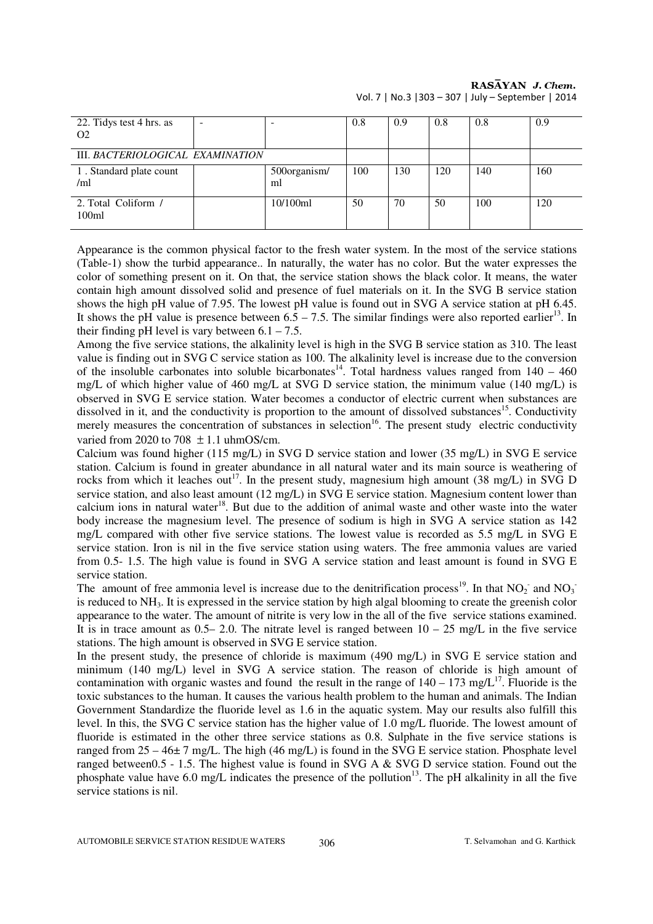# RASĀYAN J. Chem. Vol. 7 | No.3 |303 – 307 | July – September | 2014

| 22. Tidys test 4 hrs. as         |  |              | 0.8 | 0.9 | 0.8 | 0.8 | 0.9 |
|----------------------------------|--|--------------|-----|-----|-----|-----|-----|
| O <sub>2</sub>                   |  |              |     |     |     |     |     |
|                                  |  |              |     |     |     |     |     |
| III. BACTERIOLOGICAL EXAMINATION |  |              |     |     |     |     |     |
| 1. Standard plate count          |  | 500organism/ | 100 | 130 | 120 | 140 | 160 |
| /ml                              |  | ml           |     |     |     |     |     |
|                                  |  |              |     |     |     |     |     |
| 2. Total Coliform /              |  | 10/100ml     | 50  | 70  | 50  | 100 | 120 |
| 100ml                            |  |              |     |     |     |     |     |
|                                  |  |              |     |     |     |     |     |

Appearance is the common physical factor to the fresh water system. In the most of the service stations (Table-1) show the turbid appearance.. In naturally, the water has no color. But the water expresses the color of something present on it. On that, the service station shows the black color. It means, the water contain high amount dissolved solid and presence of fuel materials on it. In the SVG B service station shows the high pH value of 7.95. The lowest pH value is found out in SVG A service station at pH 6.45. It shows the pH value is presence between  $6.5 - 7.5$ . The similar findings were also reported earlier<sup>13</sup>. In their finding pH level is vary between  $6.1 - 7.5$ .

Among the five service stations, the alkalinity level is high in the SVG B service station as 310. The least value is finding out in SVG C service station as 100. The alkalinity level is increase due to the conversion of the insoluble carbonates into soluble bicarbonates<sup>14</sup>. Total hardness values ranged from  $140 - 460$ mg/L of which higher value of 460 mg/L at SVG D service station, the minimum value (140 mg/L) is observed in SVG E service station. Water becomes a conductor of electric current when substances are dissolved in it, and the conductivity is proportion to the amount of dissolved substances<sup>15</sup>. Conductivity merely measures the concentration of substances in selection<sup>16</sup>. The present study electric conductivity varied from 2020 to 708  $\pm$  1.1 uhmOS/cm.

Calcium was found higher (115 mg/L) in SVG D service station and lower (35 mg/L) in SVG E service station. Calcium is found in greater abundance in all natural water and its main source is weathering of rocks from which it leaches out<sup>17</sup>. In the present study, magnesium high amount (38 mg/L) in SVG D service station, and also least amount (12 mg/L) in SVG E service station. Magnesium content lower than calcium ions in natural water<sup>18</sup>. But due to the addition of animal waste and other waste into the water body increase the magnesium level. The presence of sodium is high in SVG A service station as 142 mg/L compared with other five service stations. The lowest value is recorded as 5.5 mg/L in SVG E service station. Iron is nil in the five service station using waters. The free ammonia values are varied from 0.5- 1.5. The high value is found in SVG A service station and least amount is found in SVG E service station.

The amount of free ammonia level is increase due to the denitrification process<sup>19</sup>. In that  $NO_2^-$  and  $NO_3^$ is reduced to NH<sub>3</sub>. It is expressed in the service station by high algal blooming to create the greenish color appearance to the water. The amount of nitrite is very low in the all of the five service stations examined. It is in trace amount as  $0.5-2.0$ . The nitrate level is ranged between  $10-25$  mg/L in the five service stations. The high amount is observed in SVG E service station.

In the present study, the presence of chloride is maximum (490 mg/L) in SVG E service station and minimum (140 mg/L) level in SVG A service station. The reason of chloride is high amount of contamination with organic wastes and found the result in the range of  $140 - 173$  mg/L<sup>17</sup>. Fluoride is the toxic substances to the human. It causes the various health problem to the human and animals. The Indian Government Standardize the fluoride level as 1.6 in the aquatic system. May our results also fulfill this level. In this, the SVG C service station has the higher value of 1.0 mg/L fluoride. The lowest amount of fluoride is estimated in the other three service stations as 0.8. Sulphate in the five service stations is ranged from  $25 - 46 \pm 7$  mg/L. The high (46 mg/L) is found in the SVG E service station. Phosphate level ranged between0.5 - 1.5. The highest value is found in SVG A & SVG D service station. Found out the phosphate value have 6.0 mg/L indicates the presence of the pollution<sup>13</sup>. The pH alkalinity in all the five service stations is nil.